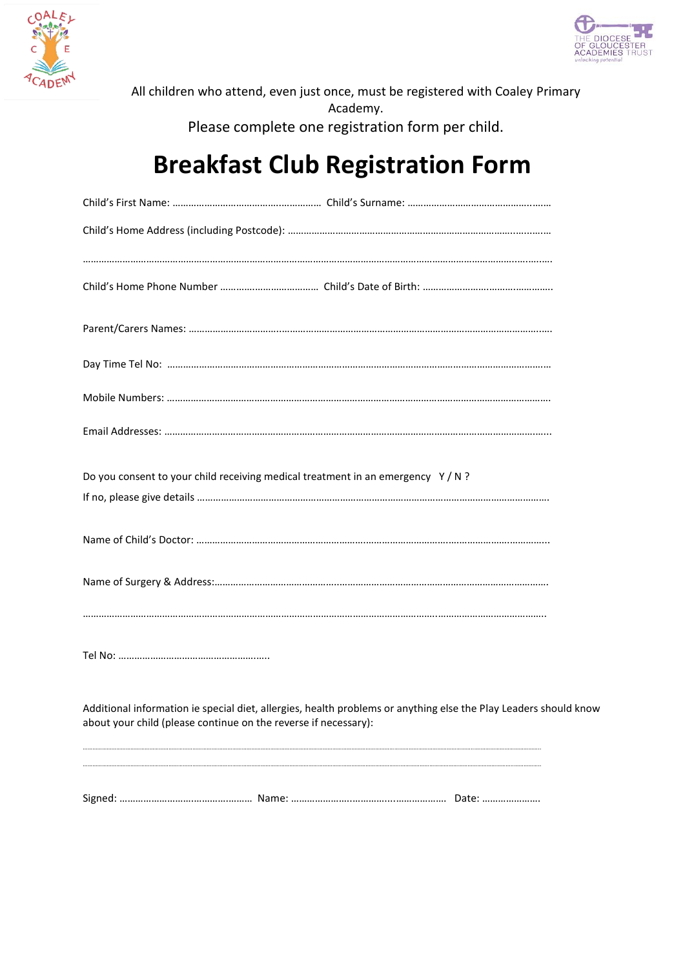



All children who attend, even just once, must be registered with Coaley Primary Academy. Please complete one registration form per child.

## **Breakfast Club Registration Form**

| Do you consent to your child receiving medical treatment in an emergency $Y/N$ ?                                                                                                    |
|-------------------------------------------------------------------------------------------------------------------------------------------------------------------------------------|
|                                                                                                                                                                                     |
|                                                                                                                                                                                     |
|                                                                                                                                                                                     |
|                                                                                                                                                                                     |
|                                                                                                                                                                                     |
| Additional information ie special diet, allergies, health problems or anything else the Play Leaders should know<br>about your child (please continue on the reverse if necessary): |
|                                                                                                                                                                                     |
|                                                                                                                                                                                     |